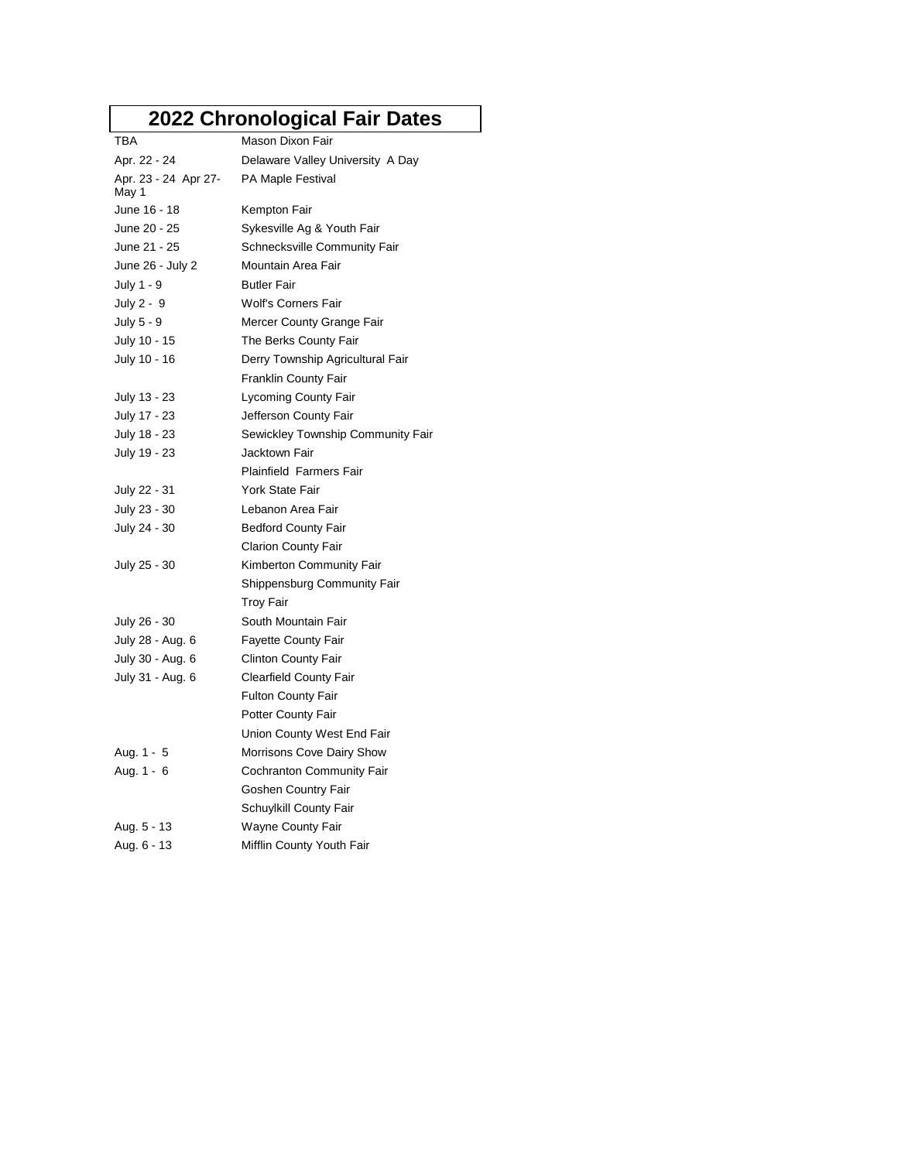## **2022 Chronological Fair Dates**

| TBA                           | Mason Dixon Fair                   |
|-------------------------------|------------------------------------|
| Apr. 22 - 24                  | Delaware Valley University A Day   |
| Apr. 23 - 24 Apr 27-<br>May 1 | PA Maple Festival                  |
| June 16 - 18                  | Kempton Fair                       |
| June 20 - 25                  | Sykesville Ag & Youth Fair         |
| June 21 - 25                  | Schnecksville Community Fair       |
| June 26 - July 2              | Mountain Area Fair                 |
| July 1 - 9                    | <b>Butler Fair</b>                 |
| July 2 - 9                    | Wolf's Corners Fair                |
| July 5 - 9                    | Mercer County Grange Fair          |
| July 10 - 15                  | The Berks County Fair              |
| July 10 - 16                  | Derry Township Agricultural Fair   |
|                               | Franklin County Fair               |
| July 13 - 23                  | <b>Lycoming County Fair</b>        |
| July 17 - 23                  | Jefferson County Fair              |
| July 18 - 23                  | Sewickley Township Community Fair  |
| July 19 - 23                  | Jacktown Fair                      |
|                               | <b>Plainfield Farmers Fair</b>     |
| July 22 - 31                  | York State Fair                    |
| July 23 - 30                  | Lebanon Area Fair                  |
| July 24 - 30                  | <b>Bedford County Fair</b>         |
|                               | <b>Clarion County Fair</b>         |
| July 25 - 30                  | Kimberton Community Fair           |
|                               | <b>Shippensburg Community Fair</b> |
|                               | Troy Fair                          |
| July 26 - 30                  | South Mountain Fair                |
| July 28 - Aug. 6              | <b>Fayette County Fair</b>         |
| July 30 - Aug. 6              | <b>Clinton County Fair</b>         |
| July 31 - Aug. 6              | <b>Clearfield County Fair</b>      |
|                               | Fulton County Fair                 |
|                               | Potter County Fair                 |
|                               | Union County West End Fair         |
| Aug. 1 - 5                    | Morrisons Cove Dairy Show          |
| Aug. 1 - 6                    | Cochranton Community Fair          |
|                               | Goshen Country Fair                |
|                               | Schuylkill County Fair             |
| Aug. 5 - 13                   | Wayne County Fair                  |
| Aug. 6 - 13                   | Mifflin County Youth Fair          |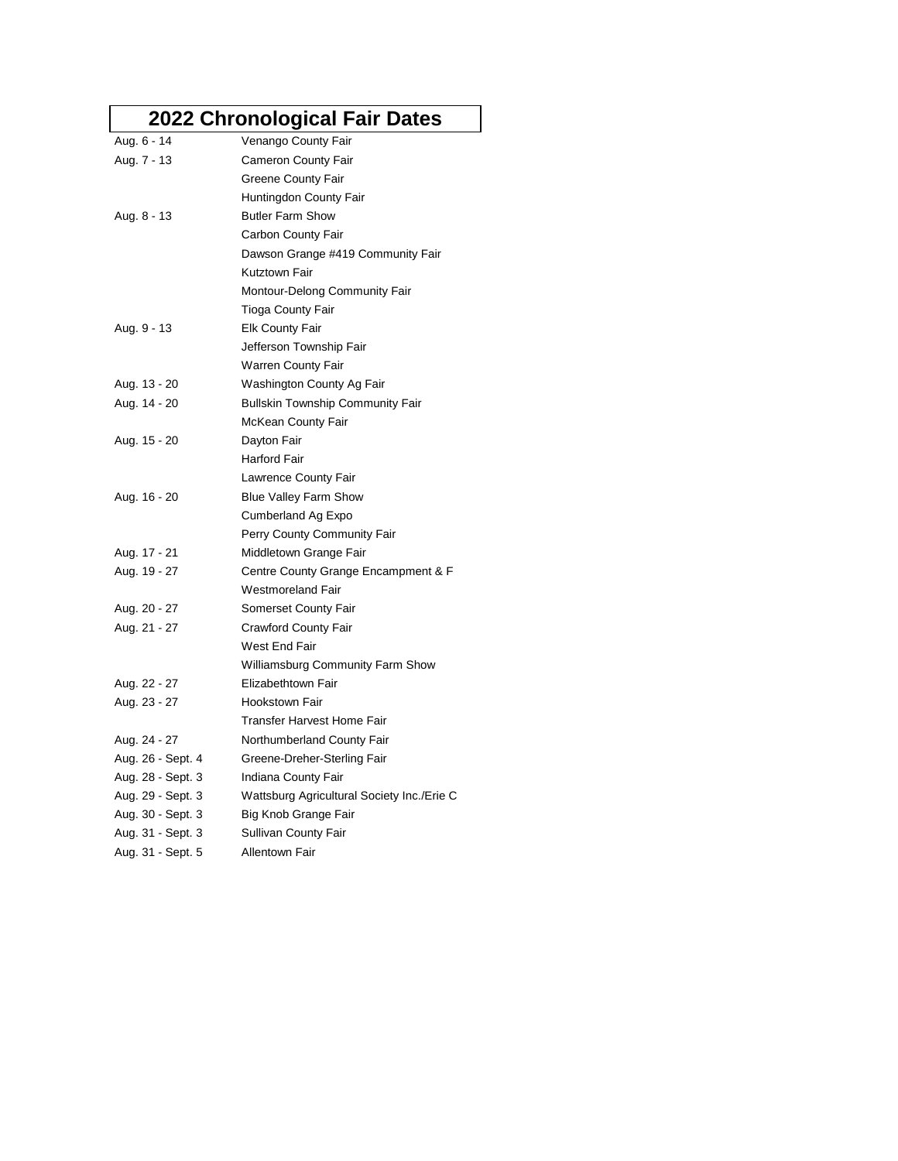## **2022 Chronological Fair Dates**

|                   | 2022 Chronological Fair Dates              |
|-------------------|--------------------------------------------|
| Aug. 6 - 14       | Venango County Fair                        |
| Aug. 7 - 13       | <b>Cameron County Fair</b>                 |
|                   | Greene County Fair                         |
|                   | Huntingdon County Fair                     |
| Aug. 8 - 13       | <b>Butler Farm Show</b>                    |
|                   | Carbon County Fair                         |
|                   | Dawson Grange #419 Community Fair          |
|                   | Kutztown Fair                              |
|                   | Montour-Delong Community Fair              |
|                   | Tioga County Fair                          |
| Aug. 9 - 13       | <b>Elk County Fair</b>                     |
|                   | Jefferson Township Fair                    |
|                   | Warren County Fair                         |
| Aug. 13 - 20      | Washington County Ag Fair                  |
| Aug. 14 - 20      | <b>Bullskin Township Community Fair</b>    |
|                   | McKean County Fair                         |
| Aug. 15 - 20      | Dayton Fair                                |
|                   | Harford Fair                               |
|                   | Lawrence County Fair                       |
| Aug. 16 - 20      | <b>Blue Valley Farm Show</b>               |
|                   | Cumberland Ag Expo                         |
|                   | Perry County Community Fair                |
| Aug. 17 - 21      | Middletown Grange Fair                     |
| Aug. 19 - 27      | Centre County Grange Encampment & F        |
|                   | <b>Westmoreland Fair</b>                   |
| Aug. 20 - 27      | Somerset County Fair                       |
| Aug. 21 - 27      | <b>Crawford County Fair</b>                |
|                   | West End Fair                              |
|                   | Williamsburg Community Farm Show           |
| Aug. 22 - 27      | Elizabethtown Fair                         |
| Aug. 23 - 27      | <b>Hookstown Fair</b>                      |
|                   | <b>Transfer Harvest Home Fair</b>          |
| Aug. 24 - 27      | Northumberland County Fair                 |
| Aug. 26 - Sept. 4 | Greene-Dreher-Sterling Fair                |
| Aug. 28 - Sept. 3 | Indiana County Fair                        |
| Aug. 29 - Sept. 3 | Wattsburg Agricultural Society Inc./Erie C |
| Aug. 30 - Sept. 3 | Big Knob Grange Fair                       |
| Aug. 31 - Sept. 3 | Sullivan County Fair                       |
| Aug. 31 - Sept. 5 | <b>Allentown Fair</b>                      |